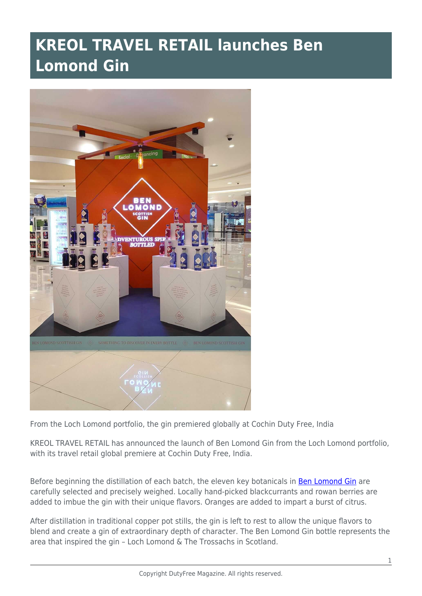## **KREOL TRAVEL RETAIL launches Ben Lomond Gin**



From the Loch Lomond portfolio, the gin premiered globally at Cochin Duty Free, India

KREOL TRAVEL RETAIL has announced the launch of Ben Lomond Gin from the Loch Lomond portfolio, with its travel retail global premiere at Cochin Duty Free, India.

Before beginning the distillation of each batch, the eleven key botanicals in **Ben Lomond Gin** are carefully selected and precisely weighed. Locally hand-picked blackcurrants and rowan berries are added to imbue the gin with their unique flavors. Oranges are added to impart a burst of citrus.

After distillation in traditional copper pot stills, the gin is left to rest to allow the unique flavors to blend and create a gin of extraordinary depth of character. The Ben Lomond Gin bottle represents the area that inspired the gin – Loch Lomond & The Trossachs in Scotland.